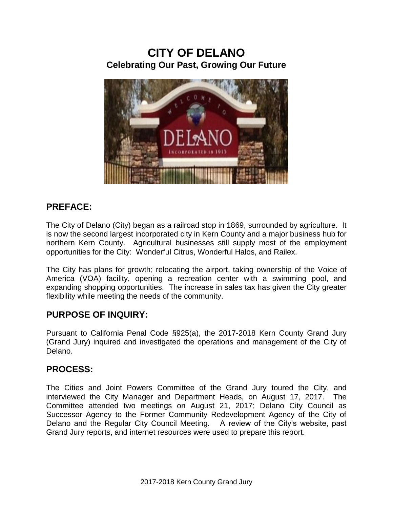# **CITY OF DELANO Celebrating Our Past, Growing Our Future**



### **PREFACE:**

The City of Delano (City) began as a railroad stop in 1869, surrounded by agriculture. It is now the second largest incorporated city in Kern County and a major business hub for northern Kern County. Agricultural businesses still supply most of the employment opportunities for the City: Wonderful Citrus, Wonderful Halos, and Railex.

The City has plans for growth; relocating the airport, taking ownership of the Voice of America (VOA) facility, opening a recreation center with a swimming pool, and expanding shopping opportunities. The increase in sales tax has given the City greater flexibility while meeting the needs of the community.

#### **PURPOSE OF INQUIRY:**

Pursuant to California Penal Code §925(a), the 2017-2018 Kern County Grand Jury (Grand Jury) inquired and investigated the operations and management of the City of Delano.

#### **PROCESS:**

The Cities and Joint Powers Committee of the Grand Jury toured the City, and interviewed the City Manager and Department Heads, on August 17, 2017. The Committee attended two meetings on August 21, 2017; Delano City Council as Successor Agency to the Former Community Redevelopment Agency of the City of Delano and the Regular City Council Meeting. A review of the City's website, past Grand Jury reports, and internet resources were used to prepare this report.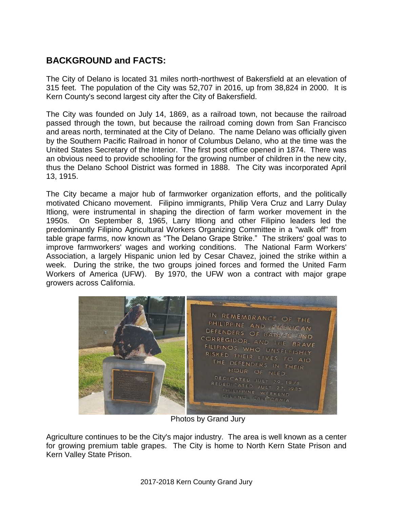## **BACKGROUND and FACTS:**

The City of Delano is located 31 miles north-northwest of [Bakersfield](https://en.wikipedia.org/wiki/Bakersfield,_California) at an elevation of 315 feet. The population of the City was 52,707 in 2016, up from 38,824 in 2000. It is Kern County's second largest city after the City of Bakersfield.

The City was founded on July 14, 1869, as a railroad town, not because the railroad passed through the town, but because the railroad coming down from San Francisco and areas north, terminated at the City of Delano. The name Delano was officially given by the Southern Pacific Railroad in honor of Columbus Delano, who at the time was the United States Secretary of the Interior. The first post office opened in 1874. There was an obvious need to provide schooling for the growing number of children in the new city, thus the Delano School District was formed in 1888. The City was incorporated April 13, 1915.

The City became a major hub of farmworker organization efforts, and the politically motivated Chicano movement. Filipino immigrants, Philip Vera Cruz and Larry Dulay Itliong, were instrumental in shaping the direction of farm worker movement in the 1950s. On September 8, 1965, Larry Itliong and other Filipino leaders led the predominantly Filipino Agricultural Workers Organizing Committee in a "walk off" from table grape farms, now known as "The Delano Grape Strike." The strikers' goal was to improve farmworkers' wages and working conditions. The National Farm Workers' Association, a largely Hispanic union led by Cesar Chavez, joined the strike within a week. During the strike, the two groups joined forces and formed the United Farm Workers of America (UFW). By 1970, the UFW won a contract with major grape growers across California.



Photos by Grand Jury

Agriculture continues to be the City's major industry. The area is well known as a center for growing premium table grapes. The City is home to [North Kern State Prison](https://en.wikipedia.org/wiki/North_Kern_State_Prison) and [Kern Valley State Prison.](https://en.wikipedia.org/wiki/Kern_Valley_State_Prison)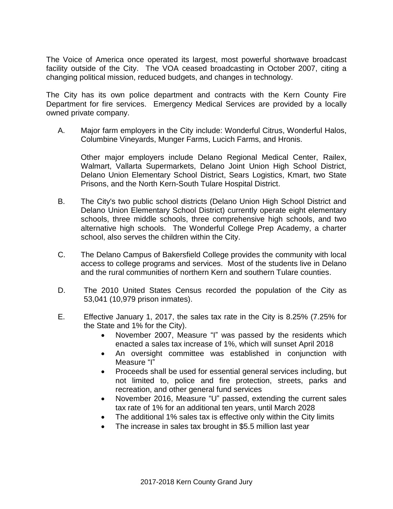The Voice of America once operated its largest, most powerful shortwave broadcast facility outside of the City. The VOA ceased broadcasting in October 2007, citing a changing political mission, reduced budgets, and changes in technology.

The City has its own police department and contracts with the Kern County Fire Department for fire services. Emergency Medical Services are provided by a locally owned private company.

A. Major farm employers in the City include: Wonderful Citrus, Wonderful Halos, Columbine Vineyards, Munger Farms, Lucich Farms, and Hronis.

Other major employers include Delano Regional Medical Center, Railex, Walmart, Vallarta Supermarkets, Delano Joint Union High School District, Delano Union Elementary School District, Sears Logistics, Kmart, two State Prisons, and the North Kern-South Tulare Hospital District.

- B. The City's two public school districts (Delano Union High School District and Delano Union Elementary School District) currently operate eight elementary schools, three middle schools, three comprehensive high schools, and two alternative high schools. The Wonderful College Prep Academy, a charter school, also serves the children within the City.
- C. The Delano Campus of Bakersfield College provides the community with local access to college programs and services. Most of the students live in Delano and the rural communities of northern Kern and southern Tulare counties.
- D. The [2010 United States Census](https://en.wikipedia.org/wiki/2010_United_States_Census) recorded the population of the City as 53,041 (10,979 prison inmates).
- E. Effective January 1, 2017, the sales tax rate in the City is 8.25% (7.25% for the State and 1% for the City).
	- November 2007, Measure "I" was passed by the residents which enacted a sales tax increase of 1%, which will sunset April 2018
	- An oversight committee was established in conjunction with Measure "I"
	- Proceeds shall be used for essential general services including, but not limited to, police and fire protection, streets, parks and recreation, and other general fund services
	- November 2016, Measure "U" passed, extending the current sales tax rate of 1% for an additional ten years, until March 2028
	- The additional 1% sales tax is effective only within the City limits
	- The increase in sales tax brought in \$5.5 million last year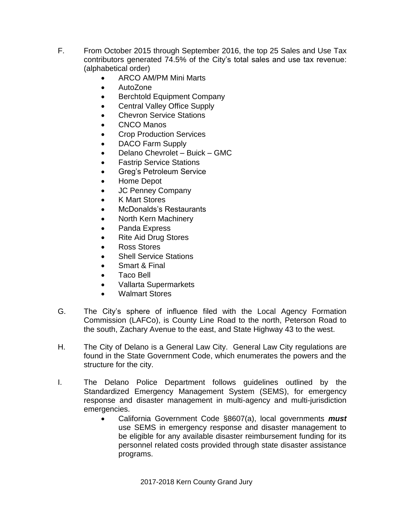- F. From October 2015 through September 2016, the top 25 Sales and Use Tax contributors generated 74.5% of the City's total sales and use tax revenue: (alphabetical order)
	- ARCO AM/PM Mini Marts
	- AutoZone
	- Berchtold Equipment Company
	- Central Valley Office Supply
	- Chevron Service Stations
	- CNCO Manos
	- Crop Production Services
	- DACO Farm Supply
	- Delano Chevrolet Buick GMC
	- Fastrip Service Stations
	- Greg's Petroleum Service
	- Home Depot
	- JC Penney Company
	- K Mart Stores
	- McDonalds's Restaurants
	- North Kern Machinery
	- Panda Express
	- Rite Aid Drug Stores
	- Ross Stores
	- Shell Service Stations
	- Smart & Final
	- Taco Bell
	- Vallarta Supermarkets
	- Walmart Stores
- G. The City's sphere of influence filed with the Local Agency Formation Commission (LAFCo), is County Line Road to the north, Peterson Road to the south, Zachary Avenue to the east, and State Highway 43 to the west.
- H. The City of Delano is a General Law City. General Law City regulations are found in the State Government Code, which enumerates the powers and the structure for the city.
- I. The Delano Police Department follows guidelines outlined by the Standardized Emergency Management System (SEMS), for emergency response and disaster management in multi-agency and multi-jurisdiction emergencies.
	- California Government Code §8607(a), local governments *must*  use SEMS in emergency response and disaster management to be eligible for any available disaster reimbursement funding for its personnel related costs provided through state disaster assistance programs.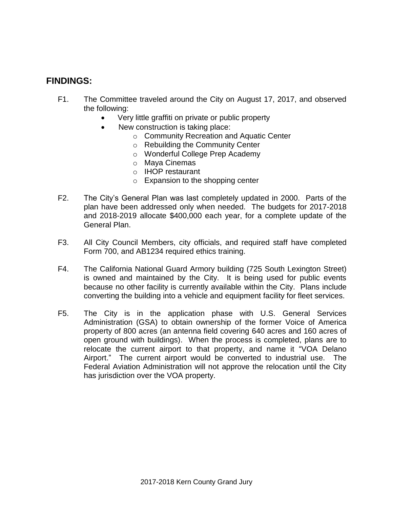#### **FINDINGS:**

- F1. The Committee traveled around the City on August 17, 2017, and observed the following:
	- Very little graffiti on private or public property
	- New construction is taking place:
		- o Community Recreation and Aquatic Center
		- o Rebuilding the Community Center
		- o Wonderful College Prep Academy
		- o Maya Cinemas
		- o IHOP restaurant
		- $\circ$  Expansion to the shopping center
- F2. The City's General Plan was last completely updated in 2000. Parts of the plan have been addressed only when needed. The budgets for 2017-2018 and 2018-2019 allocate \$400,000 each year, for a complete update of the General Plan.
- F3. All City Council Members, city officials, and required staff have completed Form 700, and AB1234 required ethics training.
- F4. The California National Guard Armory building (725 South Lexington Street) is owned and maintained by the City. It is being used for public events because no other facility is currently available within the City. Plans include converting the building into a vehicle and equipment facility for fleet services.
- F5. The City is in the application phase with U.S. General Services Administration (GSA) to obtain ownership of the former Voice of America property of 800 acres (an antenna field covering 640 acres and 160 acres of open ground with buildings). When the process is completed, plans are to relocate the current airport to that property, and name it "VOA Delano Airport." The current airport would be converted to industrial use. The Federal Aviation Administration will not approve the relocation until the City has jurisdiction over the VOA property.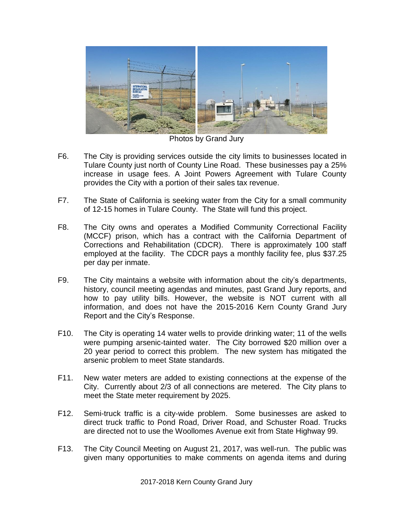

Photos by Grand Jury

- F6. The City is providing services outside the city limits to businesses located in Tulare County just north of County Line Road. These businesses pay a 25% increase in usage fees. A Joint Powers Agreement with Tulare County provides the City with a portion of their sales tax revenue.
- F7. The State of California is seeking water from the City for a small community of 12-15 homes in Tulare County. The State will fund this project.
- F8. The City owns and operates a Modified Community Correctional Facility (MCCF) prison, which has a contract with the California Department of Corrections and Rehabilitation (CDCR). There is approximately 100 staff employed at the facility. The CDCR pays a monthly facility fee, plus \$37.25 per day per inmate.
- F9. The City maintains a website with information about the city's departments, history, council meeting agendas and minutes, past Grand Jury reports, and how to pay utility bills. However, the website is NOT current with all information, and does not have the 2015-2016 Kern County Grand Jury Report and the City's Response.
- F10. The City is operating 14 water wells to provide drinking water; 11 of the wells were pumping arsenic-tainted water. The City borrowed \$20 million over a 20 year period to correct this problem. The new system has mitigated the arsenic problem to meet State standards.
- F11. New water meters are added to existing connections at the expense of the City. Currently about 2/3 of all connections are metered. The City plans to meet the State meter requirement by 2025.
- F12. Semi-truck traffic is a city-wide problem. Some businesses are asked to direct truck traffic to Pond Road, Driver Road, and Schuster Road. Trucks are directed not to use the Woollomes Avenue exit from State Highway 99.
- F13. The City Council Meeting on August 21, 2017, was well-run. The public was given many opportunities to make comments on agenda items and during